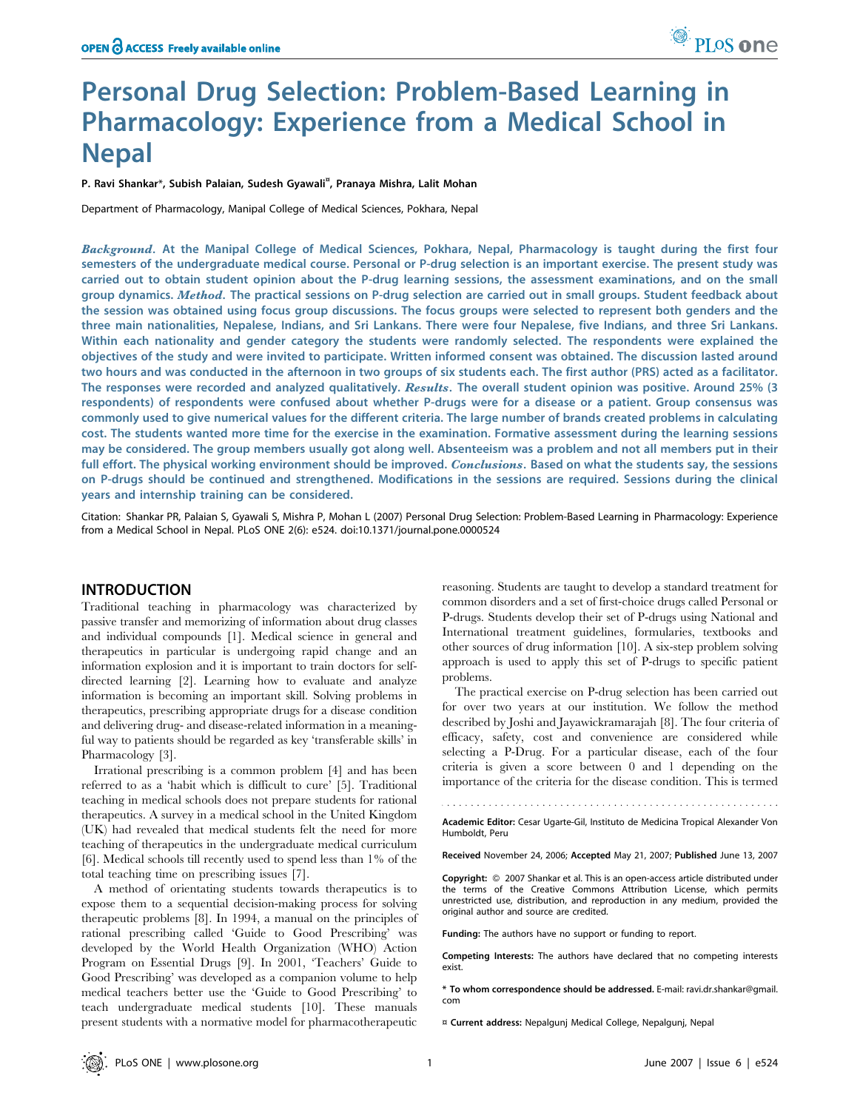# Personal Drug Selection: Problem-Based Learning in Pharmacology: Experience from a Medical School in Nepal

P. Ravi Shankar\*, Subish Palaian, Sudesh Gyawali<sup>¤</sup>, Pranaya Mishra, Lalit Mohan

Department of Pharmacology, Manipal College of Medical Sciences, Pokhara, Nepal

Background. At the Manipal College of Medical Sciences, Pokhara, Nepal, Pharmacology is taught during the first four semesters of the undergraduate medical course. Personal or P-drug selection is an important exercise. The present study was carried out to obtain student opinion about the P-drug learning sessions, the assessment examinations, and on the small group dynamics. Method. The practical sessions on P-drug selection are carried out in small groups. Student feedback about the session was obtained using focus group discussions. The focus groups were selected to represent both genders and the three main nationalities, Nepalese, Indians, and Sri Lankans. There were four Nepalese, five Indians, and three Sri Lankans. Within each nationality and gender category the students were randomly selected. The respondents were explained the objectives of the study and were invited to participate. Written informed consent was obtained. The discussion lasted around two hours and was conducted in the afternoon in two groups of six students each. The first author (PRS) acted as a facilitator. The responses were recorded and analyzed qualitatively. Results. The overall student opinion was positive. Around 25% (3 respondents) of respondents were confused about whether P-drugs were for a disease or a patient. Group consensus was commonly used to give numerical values for the different criteria. The large number of brands created problems in calculating cost. The students wanted more time for the exercise in the examination. Formative assessment during the learning sessions may be considered. The group members usually got along well. Absenteeism was a problem and not all members put in their full effort. The physical working environment should be improved. Conclusions. Based on what the students say, the sessions on P-drugs should be continued and strengthened. Modifications in the sessions are required. Sessions during the clinical years and internship training can be considered.

Citation: Shankar PR, Palaian S, Gyawali S, Mishra P, Mohan L (2007) Personal Drug Selection: Problem-Based Learning in Pharmacology: Experience from a Medical School in Nepal. PLoS ONE 2(6): e524. doi:10.1371/journal.pone.0000524

# INTRODUCTION

Traditional teaching in pharmacology was characterized by passive transfer and memorizing of information about drug classes and individual compounds [1]. Medical science in general and therapeutics in particular is undergoing rapid change and an information explosion and it is important to train doctors for selfdirected learning [2]. Learning how to evaluate and analyze information is becoming an important skill. Solving problems in therapeutics, prescribing appropriate drugs for a disease condition and delivering drug- and disease-related information in a meaningful way to patients should be regarded as key 'transferable skills' in Pharmacology [3].

Irrational prescribing is a common problem [4] and has been referred to as a 'habit which is difficult to cure' [5]. Traditional teaching in medical schools does not prepare students for rational therapeutics. A survey in a medical school in the United Kingdom (UK) had revealed that medical students felt the need for more teaching of therapeutics in the undergraduate medical curriculum [6]. Medical schools till recently used to spend less than 1% of the total teaching time on prescribing issues [7].

A method of orientating students towards therapeutics is to expose them to a sequential decision-making process for solving therapeutic problems [8]. In 1994, a manual on the principles of rational prescribing called 'Guide to Good Prescribing' was developed by the World Health Organization (WHO) Action Program on Essential Drugs [9]. In 2001, 'Teachers' Guide to Good Prescribing' was developed as a companion volume to help medical teachers better use the 'Guide to Good Prescribing' to teach undergraduate medical students [10]. These manuals present students with a normative model for pharmacotherapeutic

reasoning. Students are taught to develop a standard treatment for common disorders and a set of first-choice drugs called Personal or P-drugs. Students develop their set of P-drugs using National and International treatment guidelines, formularies, textbooks and other sources of drug information [10]. A six-step problem solving approach is used to apply this set of P-drugs to specific patient problems.

The practical exercise on P-drug selection has been carried out for over two years at our institution. We follow the method described by Joshi and Jayawickramarajah [8]. The four criteria of efficacy, safety, cost and convenience are considered while selecting a P-Drug. For a particular disease, each of the four criteria is given a score between 0 and 1 depending on the importance of the criteria for the disease condition. This is termed

Academic Editor: Cesar Ugarte-Gil, Instituto de Medicina Tropical Alexander Von Humboldt, Peru

Received November 24, 2006; Accepted May 21, 2007; Published June 13, 2007

Copyright: © 2007 Shankar et al. This is an open-access article distributed under the terms of the Creative Commons Attribution License, which permits unrestricted use, distribution, and reproduction in any medium, provided the original author and source are credited.

Funding: The authors have no support or funding to report.

Competing Interests: The authors have declared that no competing interests exist.

\* To whom correspondence should be addressed. E-mail: ravi.dr.shankar@gmail. com

¤ Current address: Nepalgunj Medical College, Nepalgunj, Nepal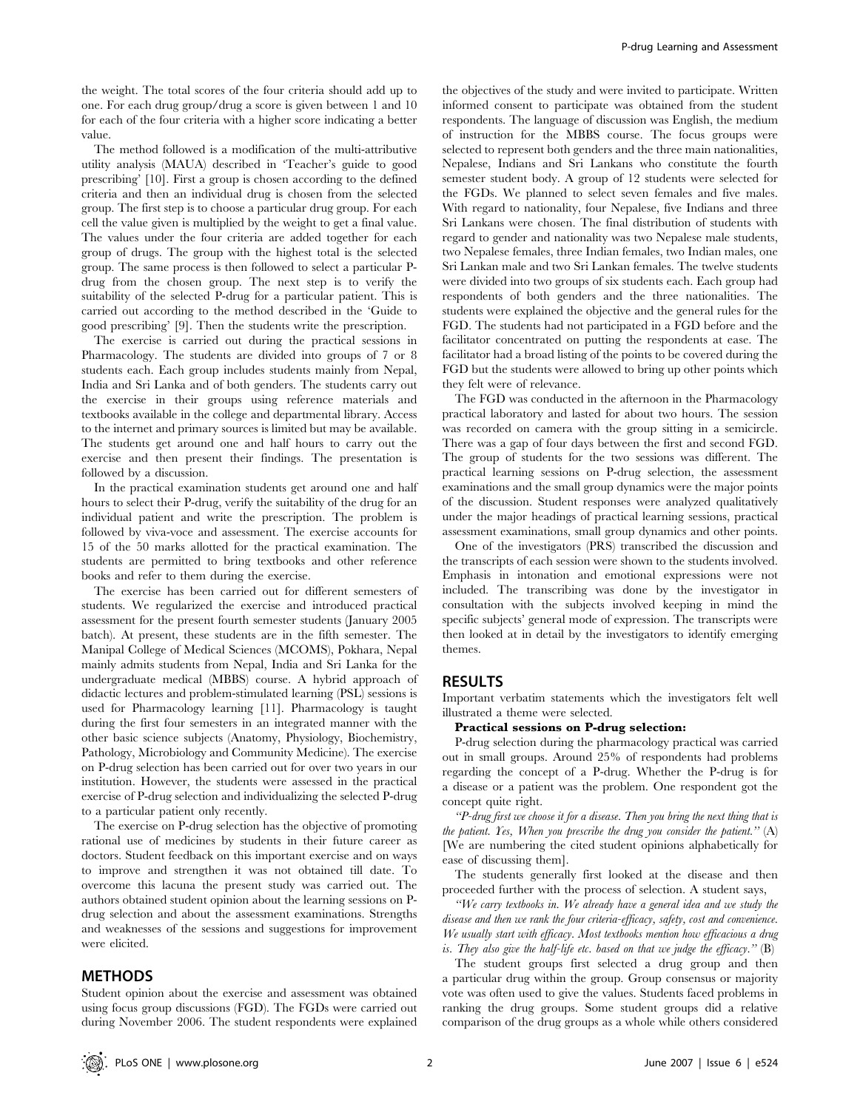The method followed is a modification of the multi-attributive utility analysis (MAUA) described in 'Teacher's guide to good prescribing' [10]. First a group is chosen according to the defined criteria and then an individual drug is chosen from the selected group. The first step is to choose a particular drug group. For each cell the value given is multiplied by the weight to get a final value. The values under the four criteria are added together for each group of drugs. The group with the highest total is the selected group. The same process is then followed to select a particular Pdrug from the chosen group. The next step is to verify the suitability of the selected P-drug for a particular patient. This is carried out according to the method described in the 'Guide to good prescribing' [9]. Then the students write the prescription.

The exercise is carried out during the practical sessions in Pharmacology. The students are divided into groups of 7 or 8 students each. Each group includes students mainly from Nepal, India and Sri Lanka and of both genders. The students carry out the exercise in their groups using reference materials and textbooks available in the college and departmental library. Access to the internet and primary sources is limited but may be available. The students get around one and half hours to carry out the exercise and then present their findings. The presentation is followed by a discussion.

In the practical examination students get around one and half hours to select their P-drug, verify the suitability of the drug for an individual patient and write the prescription. The problem is followed by viva-voce and assessment. The exercise accounts for 15 of the 50 marks allotted for the practical examination. The students are permitted to bring textbooks and other reference books and refer to them during the exercise.

The exercise has been carried out for different semesters of students. We regularized the exercise and introduced practical assessment for the present fourth semester students (January 2005 batch). At present, these students are in the fifth semester. The Manipal College of Medical Sciences (MCOMS), Pokhara, Nepal mainly admits students from Nepal, India and Sri Lanka for the undergraduate medical (MBBS) course. A hybrid approach of didactic lectures and problem-stimulated learning (PSL) sessions is used for Pharmacology learning [11]. Pharmacology is taught during the first four semesters in an integrated manner with the other basic science subjects (Anatomy, Physiology, Biochemistry, Pathology, Microbiology and Community Medicine). The exercise on P-drug selection has been carried out for over two years in our institution. However, the students were assessed in the practical exercise of P-drug selection and individualizing the selected P-drug to a particular patient only recently.

The exercise on P-drug selection has the objective of promoting rational use of medicines by students in their future career as doctors. Student feedback on this important exercise and on ways to improve and strengthen it was not obtained till date. To overcome this lacuna the present study was carried out. The authors obtained student opinion about the learning sessions on Pdrug selection and about the assessment examinations. Strengths and weaknesses of the sessions and suggestions for improvement were elicited.

# METHODS

the objectives of the study and were invited to participate. Written informed consent to participate was obtained from the student respondents. The language of discussion was English, the medium of instruction for the MBBS course. The focus groups were selected to represent both genders and the three main nationalities, Nepalese, Indians and Sri Lankans who constitute the fourth semester student body. A group of 12 students were selected for the FGDs. We planned to select seven females and five males. With regard to nationality, four Nepalese, five Indians and three Sri Lankans were chosen. The final distribution of students with regard to gender and nationality was two Nepalese male students, two Nepalese females, three Indian females, two Indian males, one Sri Lankan male and two Sri Lankan females. The twelve students were divided into two groups of six students each. Each group had respondents of both genders and the three nationalities. The students were explained the objective and the general rules for the FGD. The students had not participated in a FGD before and the facilitator concentrated on putting the respondents at ease. The facilitator had a broad listing of the points to be covered during the FGD but the students were allowed to bring up other points which they felt were of relevance.

The FGD was conducted in the afternoon in the Pharmacology practical laboratory and lasted for about two hours. The session was recorded on camera with the group sitting in a semicircle. There was a gap of four days between the first and second FGD. The group of students for the two sessions was different. The practical learning sessions on P-drug selection, the assessment examinations and the small group dynamics were the major points of the discussion. Student responses were analyzed qualitatively under the major headings of practical learning sessions, practical assessment examinations, small group dynamics and other points.

One of the investigators (PRS) transcribed the discussion and the transcripts of each session were shown to the students involved. Emphasis in intonation and emotional expressions were not included. The transcribing was done by the investigator in consultation with the subjects involved keeping in mind the specific subjects' general mode of expression. The transcripts were then looked at in detail by the investigators to identify emerging themes.

# RESULTS

Important verbatim statements which the investigators felt well illustrated a theme were selected.

#### Practical sessions on P-drug selection:

P-drug selection during the pharmacology practical was carried out in small groups. Around 25% of respondents had problems regarding the concept of a P-drug. Whether the P-drug is for a disease or a patient was the problem. One respondent got the concept quite right.

''P-drug first we choose it for a disease. Then you bring the next thing that is the patient. Yes, When you prescribe the drug you consider the patient."  $(A)$ [We are numbering the cited student opinions alphabetically for ease of discussing them].

The students generally first looked at the disease and then proceeded further with the process of selection. A student says,

''We carry textbooks in. We already have a general idea and we study the disease and then we rank the four criteria-efficacy, safety, cost and convenience. We usually start with efficacy. Most textbooks mention how efficacious a drug is. They also give the half-life etc. based on that we judge the efficacy."  $(B)$ 

The student groups first selected a drug group and then a particular drug within the group. Group consensus or majority vote was often used to give the values. Students faced problems in ranking the drug groups. Some student groups did a relative comparison of the drug groups as a whole while others considered

Student opinion about the exercise and assessment was obtained using focus group discussions (FGD). The FGDs were carried out during November 2006. The student respondents were explained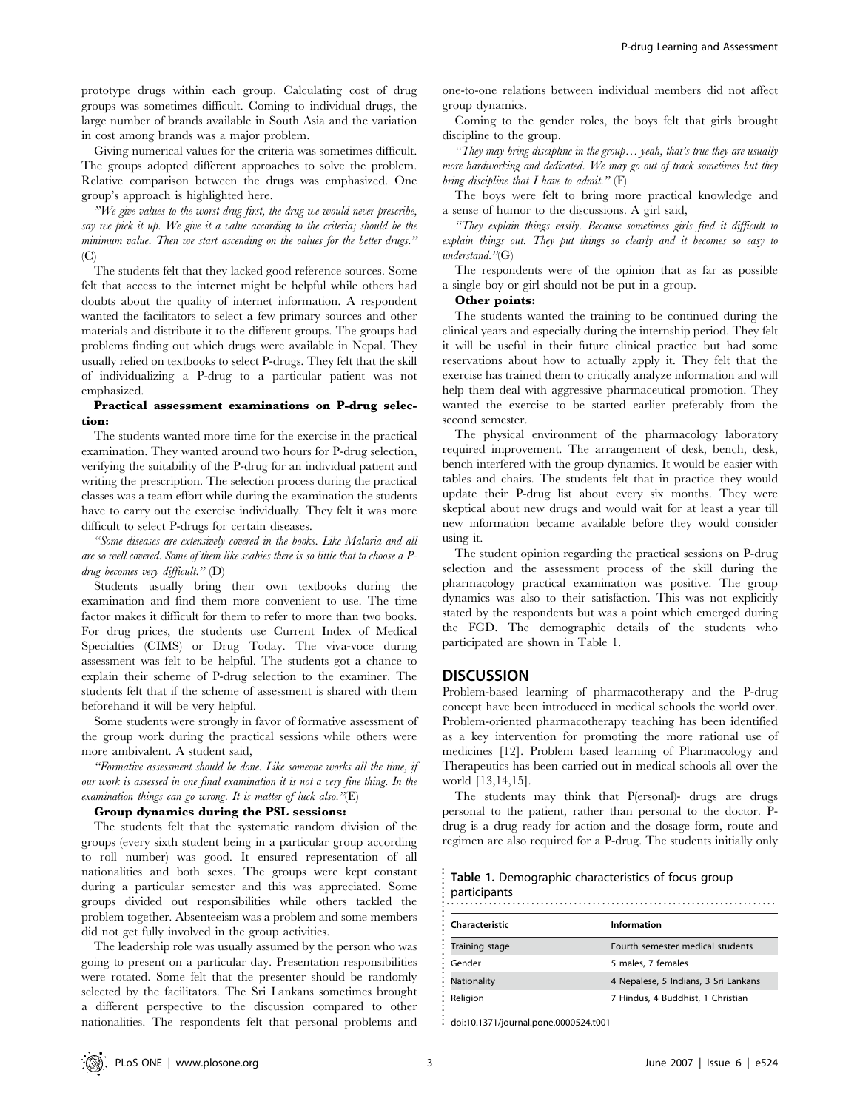prototype drugs within each group. Calculating cost of drug groups was sometimes difficult. Coming to individual drugs, the large number of brands available in South Asia and the variation in cost among brands was a major problem.

Giving numerical values for the criteria was sometimes difficult. The groups adopted different approaches to solve the problem. Relative comparison between the drugs was emphasized. One group's approach is highlighted here.

 $"We give values to the worst drug first, the drug we would never prescribe,$ say we pick it up. We give it a value according to the criteria; should be the minimum value. Then we start ascending on the values for the better drugs."  $(C)$ 

The students felt that they lacked good reference sources. Some felt that access to the internet might be helpful while others had doubts about the quality of internet information. A respondent wanted the facilitators to select a few primary sources and other materials and distribute it to the different groups. The groups had problems finding out which drugs were available in Nepal. They usually relied on textbooks to select P-drugs. They felt that the skill of individualizing a P-drug to a particular patient was not emphasized.

## Practical assessment examinations on P-drug selection:

The students wanted more time for the exercise in the practical examination. They wanted around two hours for P-drug selection, verifying the suitability of the P-drug for an individual patient and writing the prescription. The selection process during the practical classes was a team effort while during the examination the students have to carry out the exercise individually. They felt it was more difficult to select P-drugs for certain diseases.

''Some diseases are extensively covered in the books. Like Malaria and all are so well covered. Some of them like scabies there is so little that to choose a Pdrug becomes very difficult.'' (D)

Students usually bring their own textbooks during the examination and find them more convenient to use. The time factor makes it difficult for them to refer to more than two books. For drug prices, the students use Current Index of Medical Specialties (CIMS) or Drug Today. The viva-voce during assessment was felt to be helpful. The students got a chance to explain their scheme of P-drug selection to the examiner. The students felt that if the scheme of assessment is shared with them beforehand it will be very helpful.

Some students were strongly in favor of formative assessment of the group work during the practical sessions while others were more ambivalent. A student said,

''Formative assessment should be done. Like someone works all the time, if our work is assessed in one final examination it is not a very fine thing. In the examination things can go wrong. It is matter of luck also.''(E)

# Group dynamics during the PSL sessions:

The students felt that the systematic random division of the groups (every sixth student being in a particular group according to roll number) was good. It ensured representation of all nationalities and both sexes. The groups were kept constant during a particular semester and this was appreciated. Some groups divided out responsibilities while others tackled the problem together. Absenteeism was a problem and some members did not get fully involved in the group activities.

The leadership role was usually assumed by the person who was going to present on a particular day. Presentation responsibilities were rotated. Some felt that the presenter should be randomly selected by the facilitators. The Sri Lankans sometimes brought a different perspective to the discussion compared to other nationalities. The respondents felt that personal problems and one-to-one relations between individual members did not affect group dynamics.

Coming to the gender roles, the boys felt that girls brought discipline to the group.

''They may bring discipline in the group… yeah, that's true they are usually more hardworking and dedicated. We may go out of track sometimes but they bring discipline that  $I$  have to admit."  $(F)$ 

The boys were felt to bring more practical knowledge and a sense of humor to the discussions. A girl said,

''They explain things easily. Because sometimes girls find it difficult to explain things out. They put things so clearly and it becomes so easy to understand.''(G)

The respondents were of the opinion that as far as possible a single boy or girl should not be put in a group.

## Other points:

The students wanted the training to be continued during the clinical years and especially during the internship period. They felt it will be useful in their future clinical practice but had some reservations about how to actually apply it. They felt that the exercise has trained them to critically analyze information and will help them deal with aggressive pharmaceutical promotion. They wanted the exercise to be started earlier preferably from the second semester.

The physical environment of the pharmacology laboratory required improvement. The arrangement of desk, bench, desk, bench interfered with the group dynamics. It would be easier with tables and chairs. The students felt that in practice they would update their P-drug list about every six months. They were skeptical about new drugs and would wait for at least a year till new information became available before they would consider using it.

The student opinion regarding the practical sessions on P-drug selection and the assessment process of the skill during the pharmacology practical examination was positive. The group dynamics was also to their satisfaction. This was not explicitly stated by the respondents but was a point which emerged during the FGD. The demographic details of the students who participated are shown in Table 1.

## **DISCUSSION**

Problem-based learning of pharmacotherapy and the P-drug concept have been introduced in medical schools the world over. Problem-oriented pharmacotherapy teaching has been identified as a key intervention for promoting the more rational use of medicines [12]. Problem based learning of Pharmacology and Therapeutics has been carried out in medical schools all over the world [13,14,15].

The students may think that P(ersonal)- drugs are drugs personal to the patient, rather than personal to the doctor. Pdrug is a drug ready for action and the dosage form, route and regimen are also required for a P-drug. The students initially only

|              | Table 1. Demographic characteristics of focus group |  |  |  |
|--------------|-----------------------------------------------------|--|--|--|
| participants |                                                     |  |  |  |

| $:$ participants                               | Table 1. Demographic characteristics of focus group |
|------------------------------------------------|-----------------------------------------------------|
| $\cdot$ Characteristic                         | <b>Information</b>                                  |
| : Training stage                               | Fourth semester medical students                    |
| $\cdot$ Gender                                 | 5 males, 7 females                                  |
| : Nationality                                  | 4 Nepalese, 5 Indians, 3 Sri Lankans                |
| : Religion                                     | 7 Hindus, 4 Buddhist, 1 Christian                   |
| $:$ doi:10.1371/iournal.pone.0000524.t001 $\:$ |                                                     |

doi:10.1371/journal.pone.0000524.t001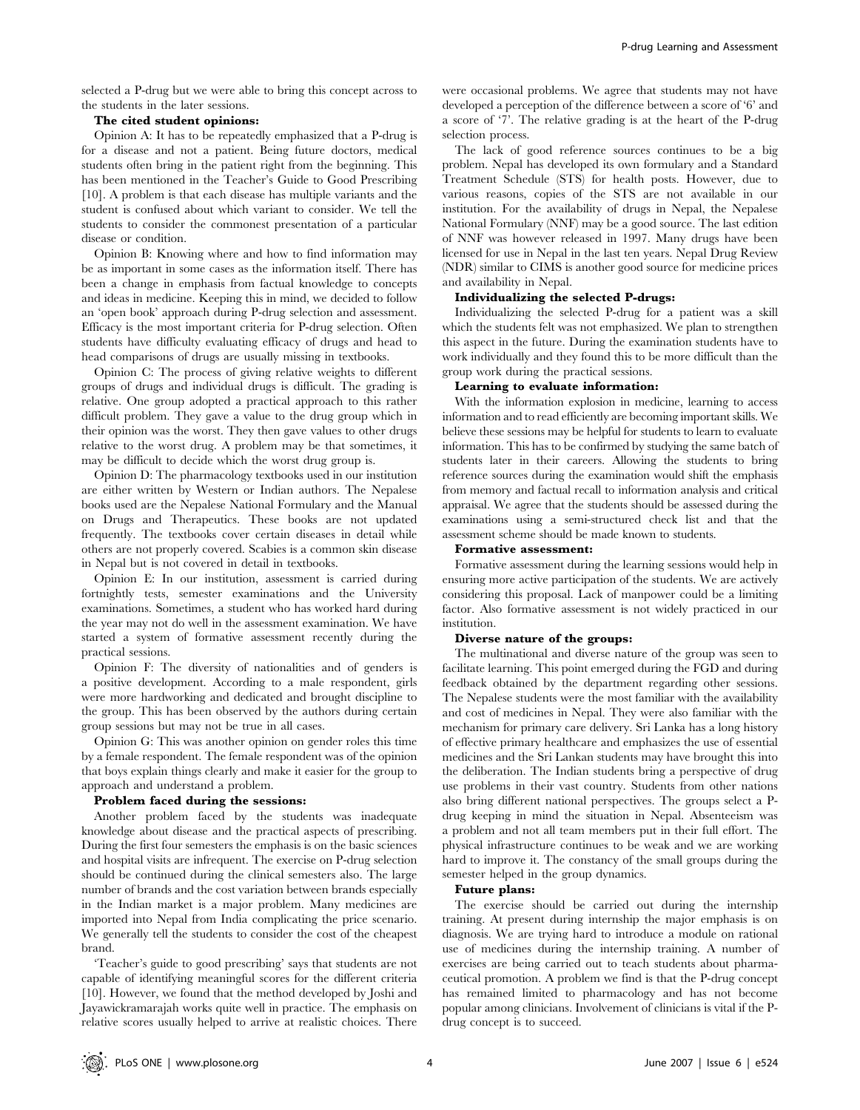selected a P-drug but we were able to bring this concept across to the students in the later sessions.

## The cited student opinions:

Opinion A: It has to be repeatedly emphasized that a P-drug is for a disease and not a patient. Being future doctors, medical students often bring in the patient right from the beginning. This has been mentioned in the Teacher's Guide to Good Prescribing [10]. A problem is that each disease has multiple variants and the student is confused about which variant to consider. We tell the students to consider the commonest presentation of a particular disease or condition.

Opinion B: Knowing where and how to find information may be as important in some cases as the information itself. There has been a change in emphasis from factual knowledge to concepts and ideas in medicine. Keeping this in mind, we decided to follow an 'open book' approach during P-drug selection and assessment. Efficacy is the most important criteria for P-drug selection. Often students have difficulty evaluating efficacy of drugs and head to head comparisons of drugs are usually missing in textbooks.

Opinion C: The process of giving relative weights to different groups of drugs and individual drugs is difficult. The grading is relative. One group adopted a practical approach to this rather difficult problem. They gave a value to the drug group which in their opinion was the worst. They then gave values to other drugs relative to the worst drug. A problem may be that sometimes, it may be difficult to decide which the worst drug group is.

Opinion D: The pharmacology textbooks used in our institution are either written by Western or Indian authors. The Nepalese books used are the Nepalese National Formulary and the Manual on Drugs and Therapeutics. These books are not updated frequently. The textbooks cover certain diseases in detail while others are not properly covered. Scabies is a common skin disease in Nepal but is not covered in detail in textbooks.

Opinion E: In our institution, assessment is carried during fortnightly tests, semester examinations and the University examinations. Sometimes, a student who has worked hard during the year may not do well in the assessment examination. We have started a system of formative assessment recently during the practical sessions.

Opinion F: The diversity of nationalities and of genders is a positive development. According to a male respondent, girls were more hardworking and dedicated and brought discipline to the group. This has been observed by the authors during certain group sessions but may not be true in all cases.

Opinion G: This was another opinion on gender roles this time by a female respondent. The female respondent was of the opinion that boys explain things clearly and make it easier for the group to approach and understand a problem.

#### Problem faced during the sessions:

Another problem faced by the students was inadequate knowledge about disease and the practical aspects of prescribing. During the first four semesters the emphasis is on the basic sciences and hospital visits are infrequent. The exercise on P-drug selection should be continued during the clinical semesters also. The large number of brands and the cost variation between brands especially in the Indian market is a major problem. Many medicines are imported into Nepal from India complicating the price scenario. We generally tell the students to consider the cost of the cheapest brand.

'Teacher's guide to good prescribing' says that students are not capable of identifying meaningful scores for the different criteria [10]. However, we found that the method developed by Joshi and Jayawickramarajah works quite well in practice. The emphasis on relative scores usually helped to arrive at realistic choices. There

were occasional problems. We agree that students may not have developed a perception of the difference between a score of '6' and a score of '7'. The relative grading is at the heart of the P-drug selection process.

The lack of good reference sources continues to be a big problem. Nepal has developed its own formulary and a Standard Treatment Schedule (STS) for health posts. However, due to various reasons, copies of the STS are not available in our institution. For the availability of drugs in Nepal, the Nepalese National Formulary (NNF) may be a good source. The last edition of NNF was however released in 1997. Many drugs have been licensed for use in Nepal in the last ten years. Nepal Drug Review (NDR) similar to CIMS is another good source for medicine prices and availability in Nepal.

#### Individualizing the selected P-drugs:

Individualizing the selected P-drug for a patient was a skill which the students felt was not emphasized. We plan to strengthen this aspect in the future. During the examination students have to work individually and they found this to be more difficult than the group work during the practical sessions.

#### Learning to evaluate information:

With the information explosion in medicine, learning to access information and to read efficiently are becoming important skills. We believe these sessions may be helpful for students to learn to evaluate information. This has to be confirmed by studying the same batch of students later in their careers. Allowing the students to bring reference sources during the examination would shift the emphasis from memory and factual recall to information analysis and critical appraisal. We agree that the students should be assessed during the examinations using a semi-structured check list and that the assessment scheme should be made known to students.

# Formative assessment:

Formative assessment during the learning sessions would help in ensuring more active participation of the students. We are actively considering this proposal. Lack of manpower could be a limiting factor. Also formative assessment is not widely practiced in our institution.

#### Diverse nature of the groups:

The multinational and diverse nature of the group was seen to facilitate learning. This point emerged during the FGD and during feedback obtained by the department regarding other sessions. The Nepalese students were the most familiar with the availability and cost of medicines in Nepal. They were also familiar with the mechanism for primary care delivery. Sri Lanka has a long history of effective primary healthcare and emphasizes the use of essential medicines and the Sri Lankan students may have brought this into the deliberation. The Indian students bring a perspective of drug use problems in their vast country. Students from other nations also bring different national perspectives. The groups select a Pdrug keeping in mind the situation in Nepal. Absenteeism was a problem and not all team members put in their full effort. The physical infrastructure continues to be weak and we are working hard to improve it. The constancy of the small groups during the semester helped in the group dynamics.

#### Future plans:

The exercise should be carried out during the internship training. At present during internship the major emphasis is on diagnosis. We are trying hard to introduce a module on rational use of medicines during the internship training. A number of exercises are being carried out to teach students about pharmaceutical promotion. A problem we find is that the P-drug concept has remained limited to pharmacology and has not become popular among clinicians. Involvement of clinicians is vital if the Pdrug concept is to succeed.